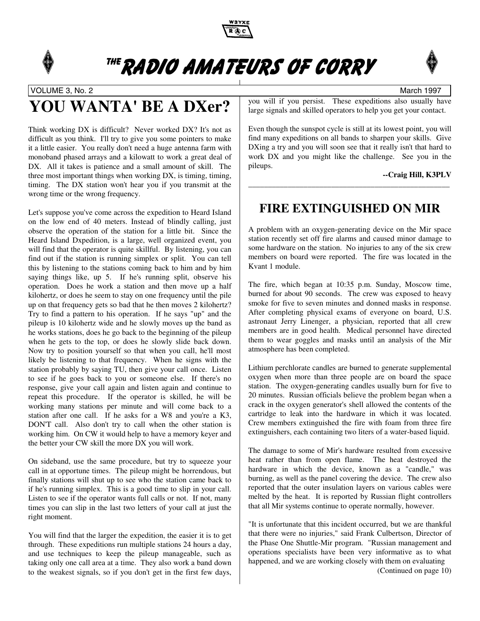

# <sup>THE</sup>RADIO AMATEURS OF CORRY

VOLUME 3, No. 2 March 1997

# **YOU WANTA' BE A DXer?**

Think working DX is difficult? Never worked DX? It's not as difficult as you think. I'll try to give you some pointers to make it a little easier. You really don't need a huge antenna farm with monoband phased arrays and a kilowatt to work a great deal of DX. All it takes is patience and a small amount of skill. The three most important things when working DX, is timing, timing, timing. The DX station won't hear you if you transmit at the wrong time or the wrong frequency.

Let's suppose you've come across the expedition to Heard Island on the low end of 40 meters. Instead of blindly calling, just observe the operation of the station for a little bit. Since the Heard Island Dxpedition, is a large, well organized event, you will find that the operator is quite skillful. By listening, you can find out if the station is running simplex or split. You can tell this by listening to the stations coming back to him and by him saying things like, up 5. If he's running split, observe his operation. Does he work a station and then move up a half kilohertz, or does he seem to stay on one frequency until the pile up on that frequency gets so bad that he then moves 2 kilohertz? Try to find a pattern to his operation. If he says "up" and the pileup is 10 kilohertz wide and he slowly moves up the band as he works stations, does he go back to the beginning of the pileup when he gets to the top, or does he slowly slide back down. Now try to position yourself so that when you call, he'll most likely be listening to that frequency. When he signs with the station probably by saying TU, then give your call once. Listen to see if he goes back to you or someone else. If there's no response, give your call again and listen again and continue to repeat this procedure. If the operator is skilled, he will be working many stations per minute and will come back to a station after one call. If he asks for a W8 and you're a K3, DON'T call. Also don't try to call when the other station is working him. On CW it would help to have a memory keyer and the better your CW skill the more DX you will work.

On sideband, use the same procedure, but try to squeeze your call in at opportune times. The pileup might be horrendous, but finally stations will shut up to see who the station came back to if he's running simplex. This is a good time to slip in your call. Listen to see if the operator wants full calls or not. If not, many times you can slip in the last two letters of your call at just the right moment.

You will find that the larger the expedition, the easier it is to get through. These expeditions run multiple stations 24 hours a day, and use techniques to keep the pileup manageable, such as taking only one call area at a time. They also work a band down to the weakest signals, so if you don't get in the first few days,

you will if you persist. These expeditions also usually have large signals and skilled operators to help you get your contact.

Even though the sunspot cycle is still at its lowest point, you will find many expeditions on all bands to sharpen your skills. Give DXing a try and you will soon see that it really isn't that hard to work DX and you might like the challenge. See you in the pileups.

#### **--Craig Hill, K3PLV**

## **FIRE EXTINGUISHED ON MIR**

\_\_\_\_\_\_\_\_\_\_\_\_\_\_\_\_\_\_\_\_\_\_\_\_\_\_\_\_\_\_\_\_\_\_\_\_\_\_\_\_\_\_\_\_\_\_\_\_\_\_\_

A problem with an oxygen-generating device on the Mir space station recently set off fire alarms and caused minor damage to some hardware on the station. No injuries to any of the six crew members on board were reported. The fire was located in the Kvant 1 module.

The fire, which began at 10:35 p.m. Sunday, Moscow time, burned for about 90 seconds. The crew was exposed to heavy smoke for five to seven minutes and donned masks in response. After completing physical exams of everyone on board, U.S. astronaut Jerry Linenger, a physician, reported that all crew members are in good health. Medical personnel have directed them to wear goggles and masks until an analysis of the Mir atmosphere has been completed.

Lithium perchlorate candles are burned to generate supplemental oxygen when more than three people are on board the space station. The oxygen-generating candles usually burn for five to 20 minutes. Russian officials believe the problem began when a crack in the oxygen generator's shell allowed the contents of the cartridge to leak into the hardware in which it was located. Crew members extinguished the fire with foam from three fire extinguishers, each containing two liters of a water-based liquid.

The damage to some of Mir's hardware resulted from excessive heat rather than from open flame. The heat destroyed the hardware in which the device, known as a "candle," was burning, as well as the panel covering the device. The crew also reported that the outer insulation layers on various cables were melted by the heat. It is reported by Russian flight controllers that all Mir systems continue to operate normally, however.

"It is unfortunate that this incident occurred, but we are thankful that there were no injuries," said Frank Culbertson, Director of the Phase One Shuttle-Mir program. "Russian management and operations specialists have been very informative as to what happened, and we are working closely with them on evaluating (Continued on page 10)

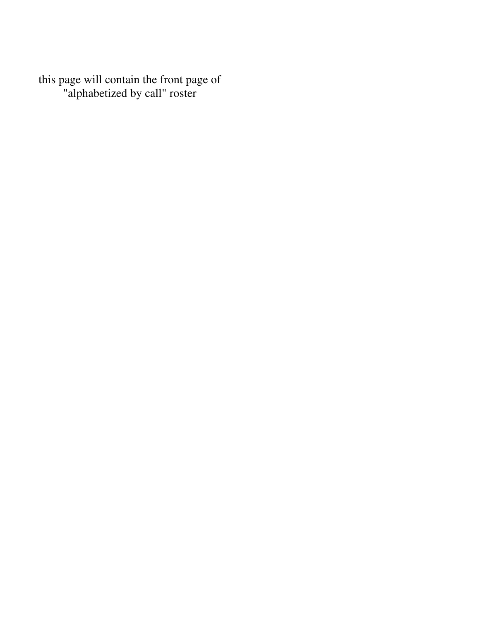this page will contain the front page of "alphabetized by call" roster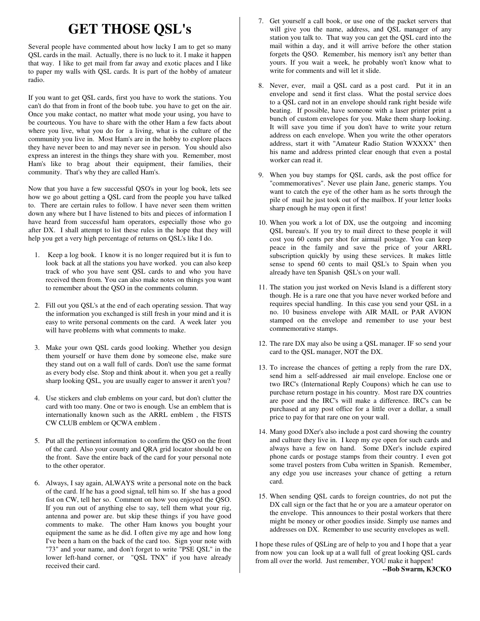## **GET THOSE QSL's**

Several people have commented about how lucky I am to get so many QSL cards in the mail. Actually, there is no luck to it. I make it happen that way. I like to get mail from far away and exotic places and I like to paper my walls with QSL cards. It is part of the hobby of amateur radio.

If you want to get QSL cards, first you have to work the stations. You can't do that from in front of the boob tube. you have to get on the air. Once you make contact, no matter what mode your using, you have to be courteous. You have to share with the other Ham a few facts about where you live, what you do for a living, what is the culture of the community you live in. Most Ham's are in the hobby to explore places they have never been to and may never see in person. You should also express an interest in the things they share with you. Remember, most Ham's like to brag about their equipment, their families, their community. That's why they are called Ham's.

Now that you have a few successful QSO's in your log book, lets see how we go about getting a QSL card from the people you have talked to. There are certain rules to follow. I have never seen them written down any where but I have listened to bits and pieces of information I have heard from successful ham operators, especially those who go after DX. I shall attempt to list these rules in the hope that they will help you get a very high percentage of returns on QSL's like I do.

- 1. Keep a log book. I know it is no longer required but it is fun to look back at all the stations you have worked. you can also keep track of who you have sent QSL cards to and who you have received them from. You can also make notes on things you want to remember about the QSO in the comments column.
- 2. Fill out you QSL's at the end of each operating session. That way the information you exchanged is still fresh in your mind and it is easy to write personal comments on the card. A week later you will have problems with what comments to make.
- 3. Make your own QSL cards good looking. Whether you design them yourself or have them done by someone else, make sure they stand out on a wall full of cards. Don't use the same format as every body else. Stop and think about it. when you get a really sharp looking QSL, you are usually eager to answer it aren't you?
- 4. Use stickers and club emblems on your card, but don't clutter the card with too many. One or two is enough. Use an emblem that is internationally known such as the ARRL emblem , the FISTS CW CLUB emblem or QCWA emblem .
- 5. Put all the pertinent information to confirm the QSO on the front of the card. Also your county and QRA grid locator should be on the front. Save the entire back of the card for your personal note to the other operator.
- 6. Always, I say again, ALWAYS write a personal note on the back of the card. If he has a good signal, tell him so. If she has a good fist on CW, tell her so. Comment on how you enjoyed the QSO. If you run out of anything else to say, tell them what your rig, antenna and power are. but skip these things if you have good comments to make. The other Ham knows you bought your equipment the same as he did. I often give my age and how long I've been a ham on the back of the card too. Sign your note with "73" and your name, and don't forget to write "PSE QSL" in the lower left-hand corner, or "QSL TNX" if you have already received their card.
- 7. Get yourself a call book, or use one of the packet servers that will give you the name, address, and QSL manager of any station you talk to. That way you can get the QSL card into the mail within a day, and it will arrive before the other station forgets the QSO. Remember, his memory isn't any better than yours. If you wait a week, he probably won't know what to write for comments and will let it slide.
- 8. Never, ever, mail a QSL card as a post card. Put it in an envelope and send it first class. What the postal service does to a QSL card not in an envelope should rank right beside wife beating. If possible, have someone with a laser printer print a bunch of custom envelopes for you. Make them sharp looking. It will save you time if you don't have to write your return address on each envelope. When you write the other operators address, start it with "Amateur Radio Station WXXXX" then his name and address printed clear enough that even a postal worker can read it.
- 9. When you buy stamps for QSL cards, ask the post office for "commemoratives". Never use plain Jane, generic stamps. You want to catch the eye of the other ham as he sorts through the pile of mail he just took out of the mailbox. If your letter looks sharp enough he may open it first!
- 10. When you work a lot of DX, use the outgoing and incoming QSL bureau's. If you try to mail direct to these people it will cost you 60 cents per shot for airmail postage. You can keep peace in the family and save the price of your ARRL subscription quickly by using these services. It makes little sense to spend 60 cents to mail QSL's to Spain when you already have ten Spanish QSL's on your wall.
- 11. The station you just worked on Nevis Island is a different story though. He is a rare one that you have never worked before and requires special handling. In this case you send your QSL in a no. 10 business envelope with AIR MAIL or PAR AVION stamped on the envelope and remember to use your best commemorative stamps.
- 12. The rare DX may also be using a QSL manager. IF so send your card to the QSL manager, NOT the DX.
- 13. To increase the chances of getting a reply from the rare DX, send him a self-addressed air mail envelope. Enclose one or two IRC's (International Reply Coupons) which he can use to purchase return postage in his country. Most rare DX countries are poor and the IRC's will make a difference. IRC's can be purchased at any post office for a little over a dollar, a small price to pay for that rare one on your wall.
- 14. Many good DXer's also include a post card showing the country and culture they live in. I keep my eye open for such cards and always have a few on hand. Some DXer's include expired phone cards or postage stamps from their country. I even got some travel posters from Cuba written in Spanish. Remember, any edge you use increases your chance of getting a return card.
- 15. When sending QSL cards to foreign countries, do not put the DX call sign or the fact that he or you are a amateur operator on the envelope. This announces to their postal workers that there might be money or other goodies inside. Simply use names and addresses on DX. Remember to use security envelopes as well.

I hope these rules of QSLing are of help to you and I hope that a year from now you can look up at a wall full of great looking QSL cards from all over the world. Just remember, YOU make it happen!

**--Bob Swarm, K3CKO**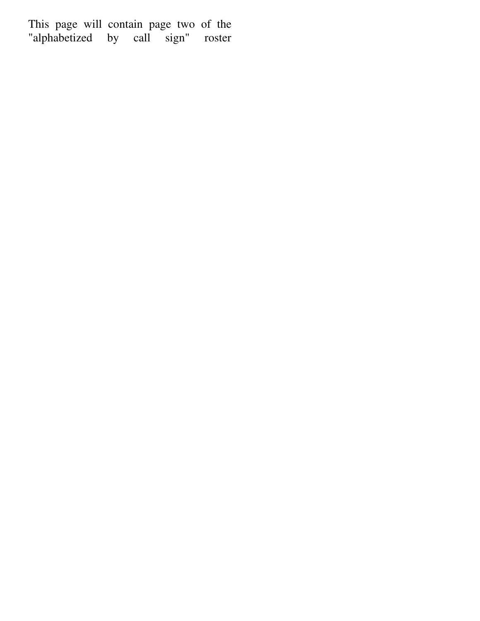This page will contain page two of the "alphabetized by call sign" roster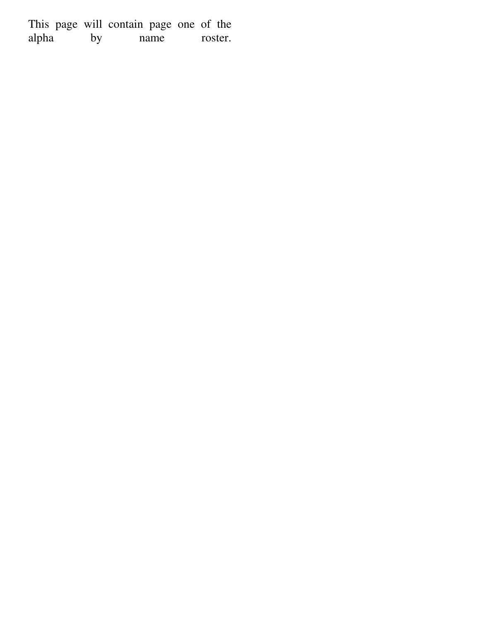This page will contain page one of the alpha by name roster.  $\overline{\phantom{a}}$  by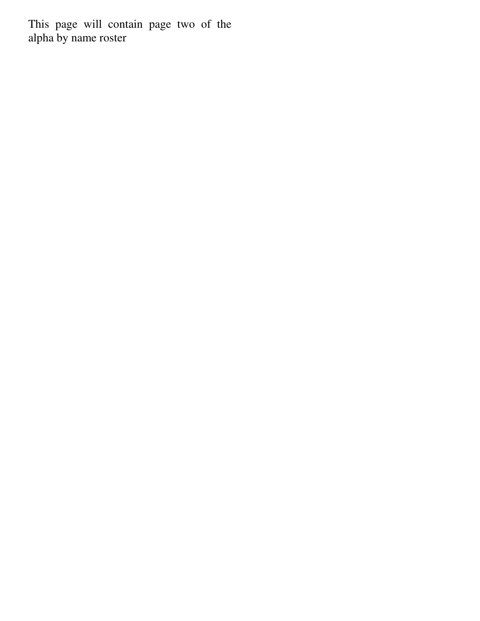This page will contain page two of the alpha by name roster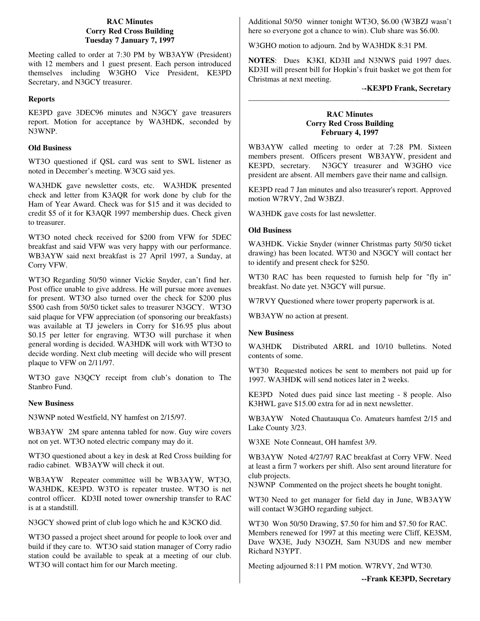#### **RAC Minutes Corry Red Cross Building Tuesday 7 January 7, 1997**

Meeting called to order at 7:30 PM by WB3AYW (President) with 12 members and 1 guest present. Each person introduced themselves including W3GHO Vice President, KE3PD Secretary, and N3GCY treasurer.

#### **Reports**

KE3PD gave 3DEC96 minutes and N3GCY gave treasurers report. Motion for acceptance by WA3HDK, seconded by N3WNP.

#### **Old Business**

WT3O questioned if QSL card was sent to SWL listener as noted in December's meeting. W3CG said yes.

WA3HDK gave newsletter costs, etc. WA3HDK presented check and letter from K3AQR for work done by club for the Ham of Year Award. Check was for \$15 and it was decided to credit \$5 of it for K3AQR 1997 membership dues. Check given to treasurer.

WT3O noted check received for \$200 from VFW for 5DEC breakfast and said VFW was very happy with our performance. WB3AYW said next breakfast is 27 April 1997, a Sunday, at Corry VFW.

WT3O Regarding 50/50 winner Vickie Snyder, can't find her. Post office unable to give address. He will pursue more avenues for present. WT3O also turned over the check for \$200 plus \$500 cash from 50/50 ticket sales to treasurer N3GCY. WT3O said plaque for VFW appreciation (of sponsoring our breakfasts) was available at TJ jewelers in Corry for \$16.95 plus about \$0.15 per letter for engraving. WT3O will purchase it when general wording is decided. WA3HDK will work with WT3O to decide wording. Next club meeting will decide who will present plaque to VFW on 2/11/97.

WT3O gave N3QCY receipt from club's donation to The Stanbro Fund.

#### **New Business**

N3WNP noted Westfield, NY hamfest on 2/15/97.

WB3AYW 2M spare antenna tabled for now. Guy wire covers not on yet. WT3O noted electric company may do it.

WT3O questioned about a key in desk at Red Cross building for radio cabinet. WB3AYW will check it out.

WB3AYW Repeater committee will be WB3AYW, WT3O, WA3HDK, KE3PD. W3TO is repeater trustee. WT3O is net control officer. KD3II noted tower ownership transfer to RAC is at a standstill.

N3GCY showed print of club logo which he and K3CKO did.

WT3O passed a project sheet around for people to look over and build if they care to. WT3O said station manager of Corry radio station could be available to speak at a meeting of our club. WT3O will contact him for our March meeting.

Additional 50/50 winner tonight WT3O, \$6.00 (W3BZJ wasn't here so everyone got a chance to win). Club share was \$6.00.

W3GHO motion to adjourn. 2nd by WA3HDK 8:31 PM.

**NOTES**: Dues K3KI, KD3II and N3NWS paid 1997 dues. KD3II will present bill for Hopkin's fruit basket we got them for Christmas at next meeting.

#### -**-KE3PD Frank, Secretary**

#### **RAC Minutes Corry Red Cross Building February 4, 1997**

\_\_\_\_\_\_\_\_\_\_\_\_\_\_\_\_\_\_\_\_\_\_\_\_\_\_\_\_\_\_\_\_\_\_\_\_\_\_\_\_\_\_\_\_\_\_\_\_\_\_\_

WB3AYW called meeting to order at 7:28 PM. Sixteen members present. Officers present WB3AYW, president and KE3PD, secretary. N3GCY treasurer and W3GHO vice president are absent. All members gave their name and callsign.

KE3PD read 7 Jan minutes and also treasurer's report. Approved motion W7RVY, 2nd W3BZJ.

WA3HDK gave costs for last newsletter.

#### **Old Business**

WA3HDK. Vickie Snyder (winner Christmas party 50/50 ticket drawing) has been located. WT30 and N3GCY will contact her to identify and present check for \$250.

WT30 RAC has been requested to furnish help for "fly in" breakfast. No date yet. N3GCY will pursue.

W7RVY Questioned where tower property paperwork is at.

WB3AYW no action at present.

#### **New Business**

WA3HDK Distributed ARRL and 10/10 bulletins. Noted contents of some.

WT30 Requested notices be sent to members not paid up for 1997. WA3HDK will send notices later in 2 weeks.

KE3PD Noted dues paid since last meeting - 8 people. Also K3HWL gave \$15.00 extra for ad in next newsletter.

WB3AYW Noted Chautauqua Co. Amateurs hamfest 2/15 and Lake County 3/23.

W3XE Note Conneaut, OH hamfest 3/9.

WB3AYW Noted 4/27/97 RAC breakfast at Corry VFW. Need at least a firm 7 workers per shift. Also sent around literature for club projects.

N3WNP Commented on the project sheets he bought tonight.

WT30 Need to get manager for field day in June, WB3AYW will contact W3GHO regarding subject.

WT30 Won 50/50 Drawing, \$7.50 for him and \$7.50 for RAC. Members renewed for 1997 at this meeting were Cliff, KE3SM, Dave WX3E, Judy N3OZH, Sam N3UDS and new member Richard N3YPT.

Meeting adjourned 8:11 PM motion. W7RVY, 2nd WT30.

**--Frank KE3PD, Secretary**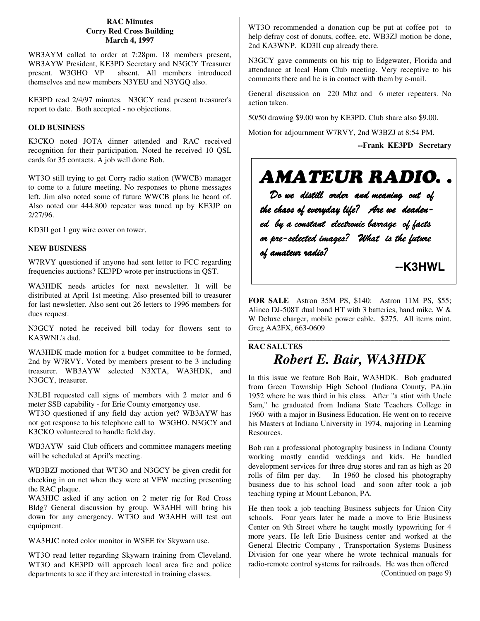#### **RAC Minutes Corry Red Cross Building March 4, 1997**

WB3AYM called to order at 7:28pm. 18 members present, WB3AYW President, KE3PD Secretary and N3GCY Treasurer present. W3GHO VP absent. All members introduced themselves and new members N3YEU and N3YGQ also.

KE3PD read 2/4/97 minutes. N3GCY read present treasurer's report to date. Both accepted - no objections.

#### **OLD BUSINESS**

K3CKO noted JOTA dinner attended and RAC received recognition for their participation. Noted he received 10 QSL cards for 35 contacts. A job well done Bob.

WT3O still trying to get Corry radio station (WWCB) manager to come to a future meeting. No responses to phone messages left. Jim also noted some of future WWCB plans he heard of. Also noted our 444.800 repeater was tuned up by KE3JP on 2/27/96.

KD3II got 1 guy wire cover on tower.

#### **NEW BUSINESS**

W7RVY questioned if anyone had sent letter to FCC regarding frequencies auctions? KE3PD wrote per instructions in QST.

WA3HDK needs articles for next newsletter. It will be distributed at April 1st meeting. Also presented bill to treasurer for last newsletter. Also sent out 26 letters to 1996 members for dues request.

N3GCY noted he received bill today for flowers sent to KA3WNL's dad.

WA3HDK made motion for a budget committee to be formed, 2nd by W7RVY. Voted by members present to be 3 including treasurer. WB3AYW selected N3XTA, WA3HDK, and N3GCY, treasurer.

N3LBI requested call signs of members with 2 meter and 6 meter SSB capability - for Erie County emergency use.

WT3O questioned if any field day action yet? WB3AYW has not got response to his telephone call to W3GHO. N3GCY and K3CKO volunteered to handle field day.

WB3AYW said Club officers and committee managers meeting will be scheduled at April's meeting.

WB3BZJ motioned that WT3O and N3GCY be given credit for checking in on net when they were at VFW meeting presenting the RAC plaque.

WA3HJC asked if any action on 2 meter rig for Red Cross Bldg? General discussion by group. W3AHH will bring his down for any emergency. WT3O and W3AHH will test out equipment.

WA3HJC noted color monitor in WSEE for Skywarn use.

WT3O read letter regarding Skywarn training from Cleveland. WT3O and KE3PD will approach local area fire and police departments to see if they are interested in training classes.

WT3O recommended a donation cup be put at coffee pot to help defray cost of donuts, coffee, etc. WB3ZJ motion be done, 2nd KA3WNP. KD3II cup already there.

N3GCY gave comments on his trip to Edgewater, Florida and attendance at local Ham Club meeting. Very receptive to his comments there and he is in contact with them by e-mail.

General discussion on 220 Mhz and 6 meter repeaters. No action taken.

50/50 drawing \$9.00 won by KE3PD. Club share also \$9.00.

Motion for adjournment W7RVY, 2nd W3BZJ at 8:54 PM.

**--Frank KE3PD Secretary**

# AMATEUR RADIO. .

 *Do we distill order and meaning out of the chaos of everyday life? Are we deaden ed by a constant electronic barrage of facts or pre-selected images? What is the future of amateur radio?*

 **--K3HWL**

**FOR SALE** Astron 35M PS, \$140: Astron 11M PS, \$55; Alinco DJ-508T dual band HT with 3 batteries, hand mike, W & W Deluxe charger, mobile power cable. \$275. All items mint. Greg AA2FX, 663-0609

### \_\_\_\_\_\_\_\_\_\_\_\_\_\_\_\_\_\_\_\_\_\_\_\_\_\_\_\_\_\_\_\_\_\_\_\_\_\_\_\_\_\_\_\_\_\_\_\_\_\_\_ **RAC SALUTES** *Robert E. Bair, WA3HDK*

In this issue we feature Bob Bair, WA3HDK. Bob graduated from Green Township High School (Indiana County, PA.)in 1952 where he was third in his class. After "a stint with Uncle Sam," he graduated from Indiana State Teachers College in 1960 with a major in Business Education. He went on to receive his Masters at Indiana University in 1974, majoring in Learning Resources.

Bob ran a professional photography business in Indiana County working mostly candid weddings and kids. He handled development services for three drug stores and ran as high as 20 rolls of film per day. In 1960 he closed his photography business due to his school load and soon after took a job teaching typing at Mount Lebanon, PA.

He then took a job teaching Business subjects for Union City schools. Four years later he made a move to Erie Business Center on 9th Street where he taught mostly typewriting for 4 more years. He left Erie Business center and worked at the General Electric Company , Transportation Systems Business Division for one year where he wrote technical manuals for radio-remote control systems for railroads. He was then offered (Continued on page 9)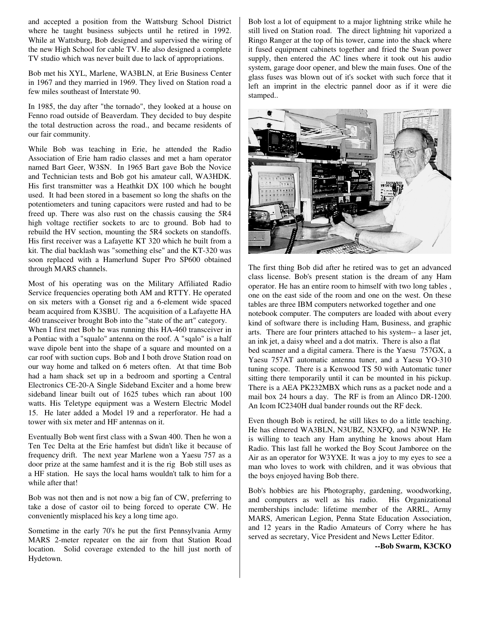and accepted a position from the Wattsburg School District where he taught business subjects until he retired in 1992. While at Wattsburg, Bob designed and supervised the wiring of the new High School for cable TV. He also designed a complete TV studio which was never built due to lack of appropriations.

Bob met his XYL, Marlene, WA3BLN, at Erie Business Center in 1967 and they married in 1969. They lived on Station road a few miles southeast of Interstate 90.

In 1985, the day after "the tornado", they looked at a house on Fenno road outside of Beaverdam. They decided to buy despite the total destruction across the road., and became residents of our fair community.

While Bob was teaching in Erie, he attended the Radio Association of Erie ham radio classes and met a ham operator named Bart Geer, W3SN. In 1965 Bart gave Bob the Novice and Technician tests and Bob got his amateur call, WA3HDK. His first transmitter was a Heathkit DX 100 which he bought used. It had been stored in a basement so long the shafts on the potentiometers and tuning capacitors were rusted and had to be freed up. There was also rust on the chassis causing the 5R4 high voltage rectifier sockets to arc to ground. Bob had to rebuild the HV section, mounting the 5R4 sockets on standoffs. His first receiver was a Lafayette KT 320 which he built from a kit. The dial backlash was "something else" and the KT-320 was soon replaced with a Hamerlund Super Pro SP600 obtained through MARS channels.

Most of his operating was on the Military Affiliated Radio Service frequencies operating both AM and RTTY. He operated on six meters with a Gonset rig and a 6-element wide spaced beam acquired from K3SBU. The acquisition of a Lafayette HA 460 transceiver brought Bob into the "state of the art" category. When I first met Bob he was running this HA-460 transceiver in a Pontiac with a "squalo" antenna on the roof. A "sqalo" is a half wave dipole bent into the shape of a square and mounted on a car roof with suction cups. Bob and I both drove Station road on our way home and talked on 6 meters often. At that time Bob had a ham shack set up in a bedroom and sporting a Central Electronics CE-20-A Single Sideband Exciter and a home brew sideband linear built out of 1625 tubes which ran about 100 watts. His Teletype equipment was a Western Electric Model 15. He later added a Model 19 and a reperforator. He had a tower with six meter and HF antennas on it.

Eventually Bob went first class with a Swan 400. Then he won a Ten Tec Delta at the Erie hamfest but didn't like it because of frequency drift. The next year Marlene won a Yaesu 757 as a door prize at the same hamfest and it is the rig Bob still uses as a HF station. He says the local hams wouldn't talk to him for a while after that!

Bob was not then and is not now a big fan of CW, preferring to take a dose of castor oil to being forced to operate CW. He conveniently misplaced his key a long time ago.

Sometime in the early 70's he put the first Pennsylvania Army MARS 2-meter repeater on the air from that Station Road location. Solid coverage extended to the hill just north of Hydetown.

Bob lost a lot of equipment to a major lightning strike while he still lived on Station road. The direct lightning hit vaporized a Ringo Ranger at the top of his tower, came into the shack where it fused equipment cabinets together and fried the Swan power supply, then entered the AC lines where it took out his audio system, garage door opener, and blew the main fuses. One of the glass fuses was blown out of it's socket with such force that it left an imprint in the electric pannel door as if it were die stamped..



The first thing Bob did after he retired was to get an advanced class license. Bob's present station is the dream of any Ham operator. He has an entire room to himself with two long tables , one on the east side of the room and one on the west. On these tables are three IBM computers networked together and one notebook computer. The computers are loaded with about every kind of software there is including Ham, Business, and graphic arts. There are four printers attached to his system-- a laser jet, an ink jet, a daisy wheel and a dot matrix. There is also a flat bed scanner and a digital camera. There is the Yaesu 757GX, a Yaesu 757AT automatic antenna tuner, and a Yaesu YO-310 tuning scope. There is a Kenwood TS 50 with Automatic tuner sitting there temporarily until it can be mounted in his pickup. There is a AEA PK232MBX which runs as a packet node and a mail box 24 hours a day. The RF is from an Alinco DR-1200. An Icom IC2340H dual bander rounds out the RF deck.

Even though Bob is retired, he still likes to do a little teaching. He has elmered WA3BLN, N3UBZ, N3XFQ, and N3WNP. He is willing to teach any Ham anything he knows about Ham Radio. This last fall he worked the Boy Scout Jamboree on the Air as an operator for W3YXE. It was a joy to my eyes to see a man who loves to work with children, and it was obvious that the boys enjoyed having Bob there.

Bob's hobbies are his Photography, gardening, woodworking, and computers as well as his radio. His Organizational memberships include: lifetime member of the ARRL, Army MARS, American Legion, Penna State Education Association, and 12 years in the Radio Amateurs of Corry where he has served as secretary, Vice President and News Letter Editor.

**--Bob Swarm, K3CKO**